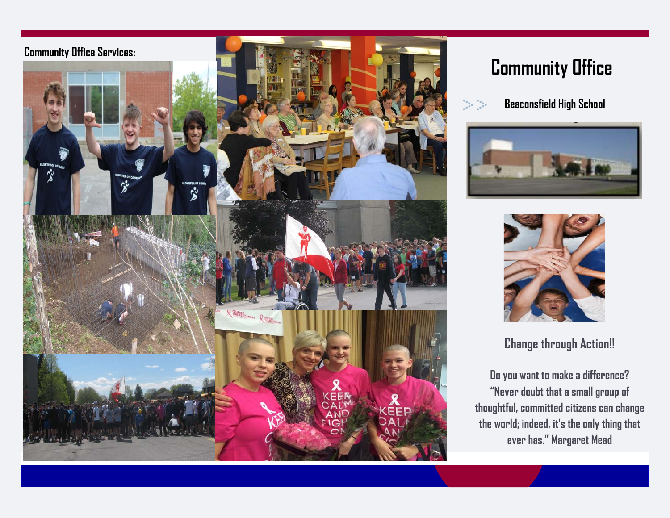

# **Community Office**



 **Beaconsfield High School** 





**Change through Action!!** 

**Do you want to make a difference? "Never doubt that a small group of thoughtful, committed citizens can change the world; indeed, it's the only thing that ever has." Margaret Mead**